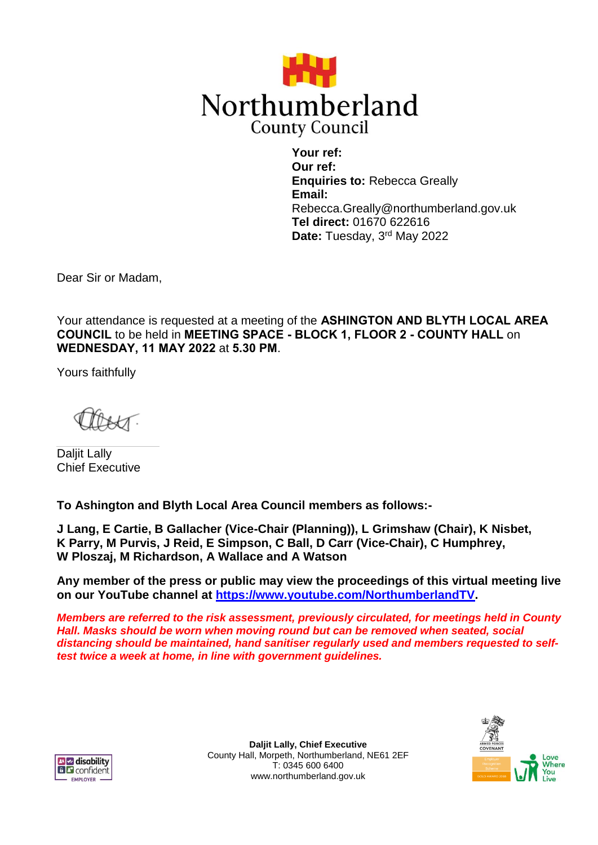

**Your ref: Our ref: Enquiries to:** Rebecca Greally **Email:** Rebecca.Greally@northumberland.gov.uk **Tel direct:** 01670 622616 **Date:** Tuesday, 3rd May 2022

Dear Sir or Madam,

Your attendance is requested at a meeting of the **ASHINGTON AND BLYTH LOCAL AREA COUNCIL** to be held in **MEETING SPACE - BLOCK 1, FLOOR 2 - COUNTY HALL** on **WEDNESDAY, 11 MAY 2022** at **5.30 PM**.

Yours faithfully

Daljit Lally Chief Executive

**To Ashington and Blyth Local Area Council members as follows:-**

**J Lang, E Cartie, B Gallacher (Vice-Chair (Planning)), L Grimshaw (Chair), K Nisbet, K Parry, M Purvis, J Reid, E Simpson, C Ball, D Carr (Vice-Chair), C Humphrey, W Ploszaj, M Richardson, A Wallace and A Watson**

**Any member of the press or public may view the proceedings of this virtual meeting live on our YouTube channel at [https://www.youtube.com/NorthumberlandTV.](https://www.youtube.com/NorthumberlandTV)**

*Members are referred to the risk assessment, previously circulated, for meetings held in County Hall. Masks should be worn when moving round but can be removed when seated, social distancing should be maintained, hand sanitiser regularly used and members requested to selftest twice a week at home, in line with government guidelines.*



**Daljit Lally, Chief Executive** County Hall, Morpeth, Northumberland, NE61 2EF T: 0345 600 6400 www.northumberland.gov.uk

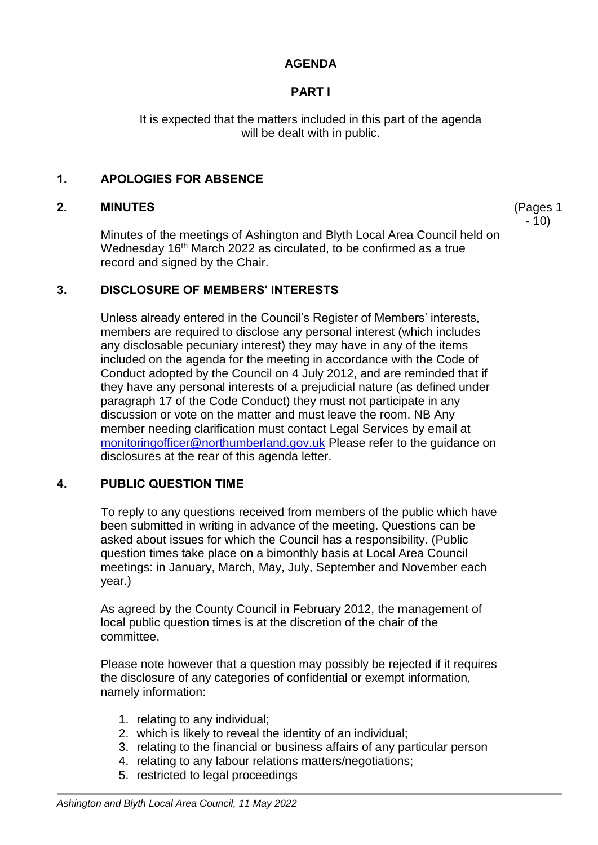## **AGENDA**

## **PART I**

It is expected that the matters included in this part of the agenda will be dealt with in public.

> (Pages 1 - 10)

## **1. APOLOGIES FOR ABSENCE**

### **2. MINUTES**

Minutes of the meetings of Ashington and Blyth Local Area Council held on Wednesday 16<sup>th</sup> March 2022 as circulated, to be confirmed as a true record and signed by the Chair.

### **3. DISCLOSURE OF MEMBERS' INTERESTS**

Unless already entered in the Council's Register of Members' interests, members are required to disclose any personal interest (which includes any disclosable pecuniary interest) they may have in any of the items included on the agenda for the meeting in accordance with the Code of Conduct adopted by the Council on 4 July 2012, and are reminded that if they have any personal interests of a prejudicial nature (as defined under paragraph 17 of the Code Conduct) they must not participate in any discussion or vote on the matter and must leave the room. NB Any member needing clarification must contact Legal Services by email at [monitoringofficer@northumberland.gov.uk](mailto:monitoringofficer@northumberland.gov.uk) Please refer to the guidance on disclosures at the rear of this agenda letter.

## **4. PUBLIC QUESTION TIME**

To reply to any questions received from members of the public which have been submitted in writing in advance of the meeting. Questions can be asked about issues for which the Council has a responsibility. (Public question times take place on a bimonthly basis at Local Area Council meetings: in January, March, May, July, September and November each year.)

As agreed by the County Council in February 2012, the management of local public question times is at the discretion of the chair of the committee.

Please note however that a question may possibly be rejected if it requires the disclosure of any categories of confidential or exempt information, namely information:

- 1. relating to any individual;
- 2. which is likely to reveal the identity of an individual;
- 3. relating to the financial or business affairs of any particular person
- 4. relating to any labour relations matters/negotiations;
- 5. restricted to legal proceedings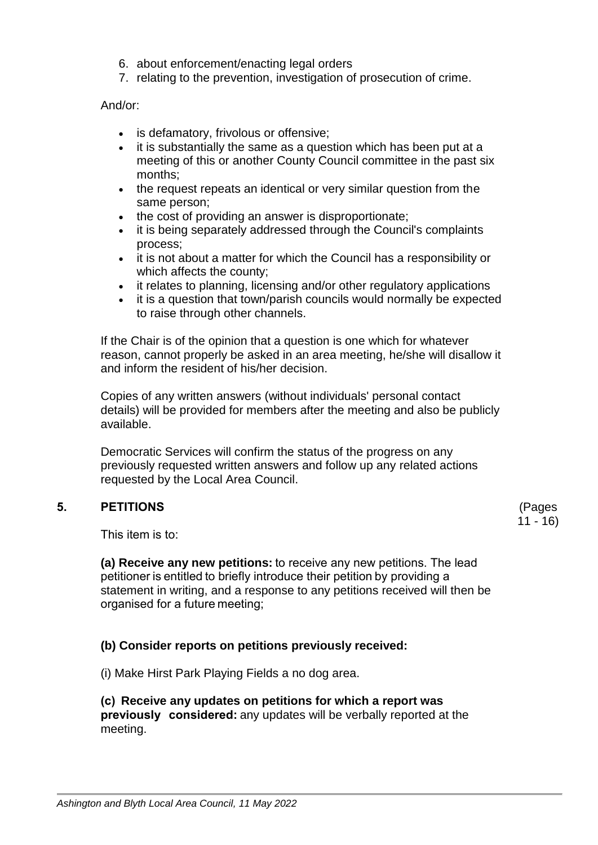- 6. about enforcement/enacting legal orders
- 7. relating to the prevention, investigation of prosecution of crime.

And/or:

- is defamatory, frivolous or offensive;
- it is substantially the same as a question which has been put at a meeting of this or another County Council committee in the past six months;
- the request repeats an identical or very similar question from the same person;
- the cost of providing an answer is disproportionate:
- it is being separately addressed through the Council's complaints process;
- it is not about a matter for which the Council has a responsibility or which affects the county;
- it relates to planning, licensing and/or other regulatory applications
- it is a question that town/parish councils would normally be expected to raise through other channels.

If the Chair is of the opinion that a question is one which for whatever reason, cannot properly be asked in an area meeting, he/she will disallow it and inform the resident of his/her decision.

Copies of any written answers (without individuals' personal contact details) will be provided for members after the meeting and also be publicly available.

Democratic Services will confirm the status of the progress on any previously requested written answers and follow up any related actions requested by the Local Area Council.

# **5. PETITIONS**

(Pages 11 - 16)

This item is to: 

**(a) Receive any new petitions:** to receive any new petitions. The lead petitioner is entitled to briefly introduce their petition by providing a statement in writing, and a response to any petitions received will then be organised for a future meeting;

# **(b) Consider reports on petitions previously received:**

(i) Make Hirst Park Playing Fields a no dog area.

## **(c)  Receive any updates on petitions for which a report was**

**previously   considered:**any updates will be verbally reported at the meeting.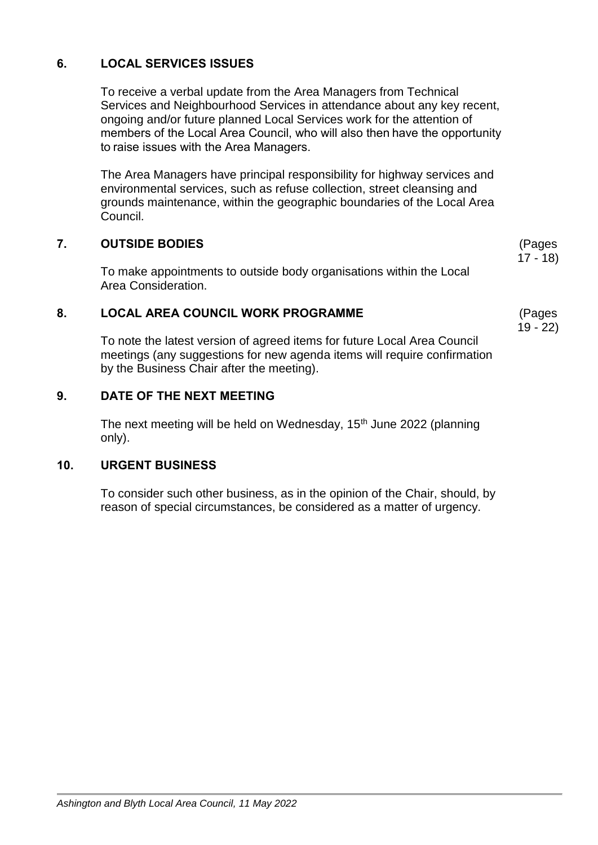# **6. LOCAL SERVICES ISSUES**

To receive a verbal update from the Area Managers from Technical Services and Neighbourhood Services in attendance about any key recent, ongoing and/or future planned Local Services work for the attention of members of the Local Area Council, who will also then have the opportunity to raise issues with the Area Managers. 

The Area Managers have principal responsibility for highway services and environmental services, such as refuse collection, street cleansing and grounds maintenance, within the geographic boundaries of the Local Area Council.

### **7. OUTSIDE BODIES**

To make appointments to outside body organisations within the Local Area Consideration.

### **8. LOCAL AREA COUNCIL WORK PROGRAMME**

To note the latest version of agreed items for future Local Area Council meetings (any suggestions for new agenda items will require confirmation by the Business Chair after the meeting).

## **9. DATE OF THE NEXT MEETING**

The next meeting will be held on Wednesday, 15<sup>th</sup> June 2022 (planning only).

#### **10. URGENT BUSINESS**

To consider such other business, as in the opinion of the Chair, should, by reason of special circumstances, be considered as a matter of urgency.

(Pages 17 - 18)

(Pages 19 - 22)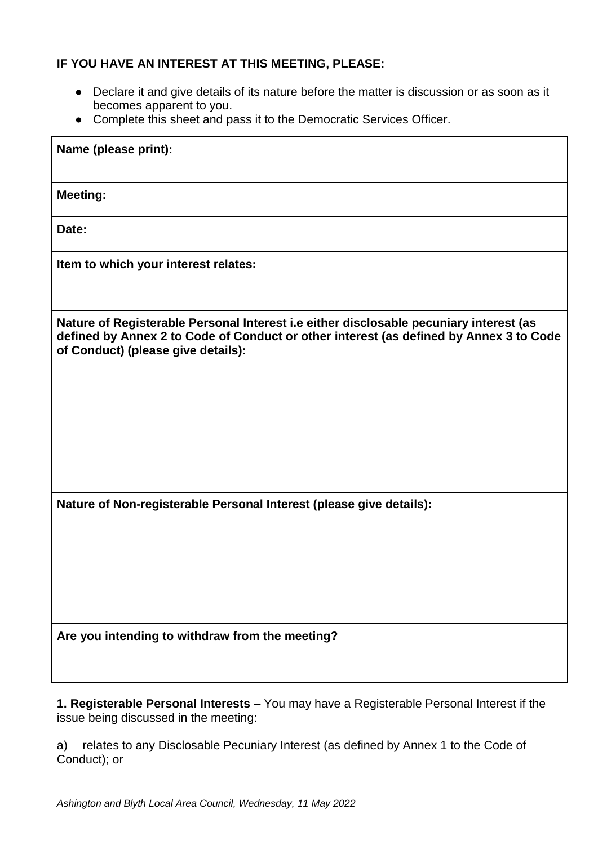## **IF YOU HAVE AN INTEREST AT THIS MEETING, PLEASE:**

- Declare it and give details of its nature before the matter is discussion or as soon as it becomes apparent to you.
- Complete this sheet and pass it to the Democratic Services Officer.

| Name (please print):                                                                                                                                                                                                   |
|------------------------------------------------------------------------------------------------------------------------------------------------------------------------------------------------------------------------|
| <b>Meeting:</b>                                                                                                                                                                                                        |
| Date:                                                                                                                                                                                                                  |
| Item to which your interest relates:                                                                                                                                                                                   |
| Nature of Registerable Personal Interest i.e either disclosable pecuniary interest (as<br>defined by Annex 2 to Code of Conduct or other interest (as defined by Annex 3 to Code<br>of Conduct) (please give details): |
| Nature of Non-registerable Personal Interest (please give details):                                                                                                                                                    |
| Are you intending to withdraw from the meeting?                                                                                                                                                                        |

**1. Registerable Personal Interests** – You may have a Registerable Personal Interest if the issue being discussed in the meeting:

a) relates to any Disclosable Pecuniary Interest (as defined by Annex 1 to the Code of Conduct); or